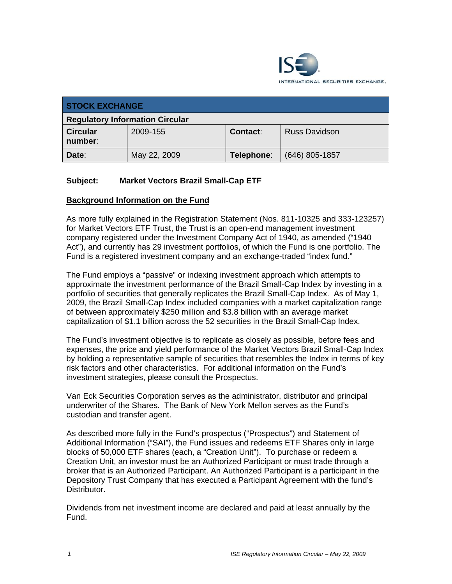

| <b>STOCK EXCHANGE</b>                  |              |            |                      |
|----------------------------------------|--------------|------------|----------------------|
| <b>Regulatory Information Circular</b> |              |            |                      |
| <b>Circular</b><br>number:             | 2009-155     | Contact:   | <b>Russ Davidson</b> |
| Date:                                  | May 22, 2009 | Telephone: | $(646)$ 805-1857     |

## **Subject: Market Vectors Brazil Small-Cap ETF**

## **Background Information on the Fund**

As more fully explained in the Registration Statement (Nos. 811-10325 and 333-123257) for Market Vectors ETF Trust, the Trust is an open-end management investment company registered under the Investment Company Act of 1940, as amended ("1940 Act"), and currently has 29 investment portfolios, of which the Fund is one portfolio. The Fund is a registered investment company and an exchange-traded "index fund."

The Fund employs a "passive" or indexing investment approach which attempts to approximate the investment performance of the Brazil Small-Cap Index by investing in a portfolio of securities that generally replicates the Brazil Small-Cap Index. As of May 1, 2009, the Brazil Small-Cap Index included companies with a market capitalization range of between approximately \$250 million and \$3.8 billion with an average market capitalization of \$1.1 billion across the 52 securities in the Brazil Small-Cap Index.

The Fund's investment objective is to replicate as closely as possible, before fees and expenses, the price and yield performance of the Market Vectors Brazil Small-Cap Index by holding a representative sample of securities that resembles the Index in terms of key risk factors and other characteristics. For additional information on the Fund's investment strategies, please consult the Prospectus.

Van Eck Securities Corporation serves as the administrator, distributor and principal underwriter of the Shares. The Bank of New York Mellon serves as the Fund's custodian and transfer agent.

As described more fully in the Fund's prospectus ("Prospectus") and Statement of Additional Information ("SAI"), the Fund issues and redeems ETF Shares only in large blocks of 50,000 ETF shares (each, a "Creation Unit"). To purchase or redeem a Creation Unit, an investor must be an Authorized Participant or must trade through a broker that is an Authorized Participant. An Authorized Participant is a participant in the Depository Trust Company that has executed a Participant Agreement with the fund's Distributor.

Dividends from net investment income are declared and paid at least annually by the Fund.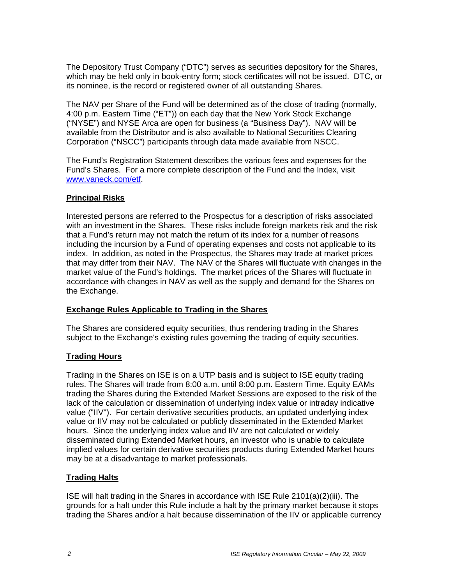The Depository Trust Company ("DTC") serves as securities depository for the Shares, which may be held only in book-entry form; stock certificates will not be issued. DTC, or its nominee, is the record or registered owner of all outstanding Shares.

The NAV per Share of the Fund will be determined as of the close of trading (normally, 4:00 p.m. Eastern Time ("ET")) on each day that the New York Stock Exchange ("NYSE") and NYSE Arca are open for business (a "Business Day"). NAV will be available from the Distributor and is also available to National Securities Clearing Corporation ("NSCC") participants through data made available from NSCC.

The Fund's Registration Statement describes the various fees and expenses for the Fund's Shares. For a more complete description of the Fund and the Index, visit www.vaneck.com/etf.

## **Principal Risks**

Interested persons are referred to the Prospectus for a description of risks associated with an investment in the Shares. These risks include foreign markets risk and the risk that a Fund's return may not match the return of its index for a number of reasons including the incursion by a Fund of operating expenses and costs not applicable to its index. In addition, as noted in the Prospectus, the Shares may trade at market prices that may differ from their NAV. The NAV of the Shares will fluctuate with changes in the market value of the Fund's holdings. The market prices of the Shares will fluctuate in accordance with changes in NAV as well as the supply and demand for the Shares on the Exchange.

## **Exchange Rules Applicable to Trading in the Shares**

The Shares are considered equity securities, thus rendering trading in the Shares subject to the Exchange's existing rules governing the trading of equity securities.

## **Trading Hours**

Trading in the Shares on ISE is on a UTP basis and is subject to ISE equity trading rules. The Shares will trade from 8:00 a.m. until 8:00 p.m. Eastern Time. Equity EAMs trading the Shares during the Extended Market Sessions are exposed to the risk of the lack of the calculation or dissemination of underlying index value or intraday indicative value ("IIV"). For certain derivative securities products, an updated underlying index value or IIV may not be calculated or publicly disseminated in the Extended Market hours. Since the underlying index value and IIV are not calculated or widely disseminated during Extended Market hours, an investor who is unable to calculate implied values for certain derivative securities products during Extended Market hours may be at a disadvantage to market professionals.

## **Trading Halts**

ISE will halt trading in the Shares in accordance with ISE Rule 2101(a)(2)(iii). The grounds for a halt under this Rule include a halt by the primary market because it stops trading the Shares and/or a halt because dissemination of the IIV or applicable currency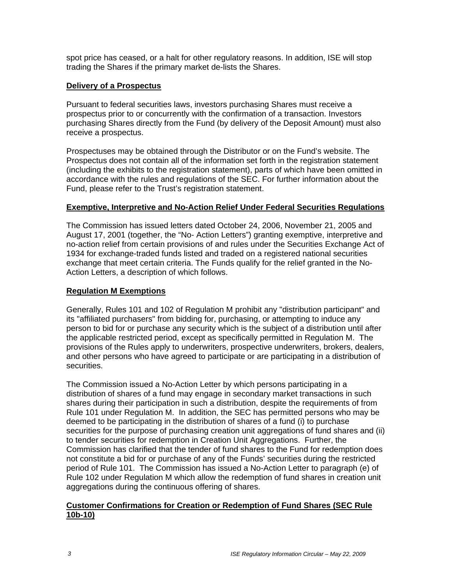spot price has ceased, or a halt for other regulatory reasons. In addition, ISE will stop trading the Shares if the primary market de-lists the Shares.

### **Delivery of a Prospectus**

Pursuant to federal securities laws, investors purchasing Shares must receive a prospectus prior to or concurrently with the confirmation of a transaction. Investors purchasing Shares directly from the Fund (by delivery of the Deposit Amount) must also receive a prospectus.

Prospectuses may be obtained through the Distributor or on the Fund's website. The Prospectus does not contain all of the information set forth in the registration statement (including the exhibits to the registration statement), parts of which have been omitted in accordance with the rules and regulations of the SEC. For further information about the Fund, please refer to the Trust's registration statement.

#### **Exemptive, Interpretive and No-Action Relief Under Federal Securities Regulations**

The Commission has issued letters dated October 24, 2006, November 21, 2005 and August 17, 2001 (together, the "No- Action Letters") granting exemptive, interpretive and no-action relief from certain provisions of and rules under the Securities Exchange Act of 1934 for exchange-traded funds listed and traded on a registered national securities exchange that meet certain criteria. The Funds qualify for the relief granted in the No-Action Letters, a description of which follows.

### **Regulation M Exemptions**

Generally, Rules 101 and 102 of Regulation M prohibit any "distribution participant" and its "affiliated purchasers" from bidding for, purchasing, or attempting to induce any person to bid for or purchase any security which is the subject of a distribution until after the applicable restricted period, except as specifically permitted in Regulation M. The provisions of the Rules apply to underwriters, prospective underwriters, brokers, dealers, and other persons who have agreed to participate or are participating in a distribution of securities.

The Commission issued a No-Action Letter by which persons participating in a distribution of shares of a fund may engage in secondary market transactions in such shares during their participation in such a distribution, despite the requirements of from Rule 101 under Regulation M. In addition, the SEC has permitted persons who may be deemed to be participating in the distribution of shares of a fund (i) to purchase securities for the purpose of purchasing creation unit aggregations of fund shares and (ii) to tender securities for redemption in Creation Unit Aggregations. Further, the Commission has clarified that the tender of fund shares to the Fund for redemption does not constitute a bid for or purchase of any of the Funds' securities during the restricted period of Rule 101. The Commission has issued a No-Action Letter to paragraph (e) of Rule 102 under Regulation M which allow the redemption of fund shares in creation unit aggregations during the continuous offering of shares.

#### **Customer Confirmations for Creation or Redemption of Fund Shares (SEC Rule 10b-10)**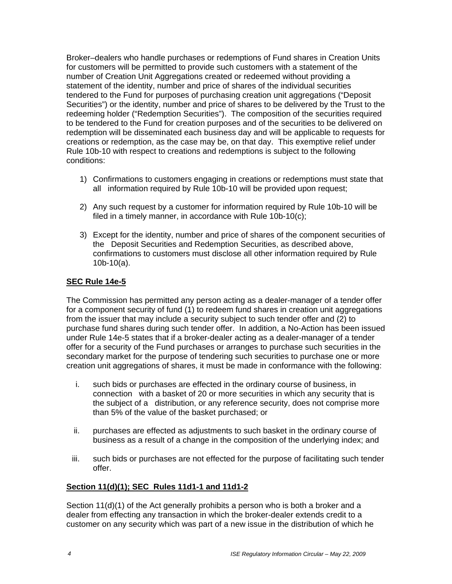Broker–dealers who handle purchases or redemptions of Fund shares in Creation Units for customers will be permitted to provide such customers with a statement of the number of Creation Unit Aggregations created or redeemed without providing a statement of the identity, number and price of shares of the individual securities tendered to the Fund for purposes of purchasing creation unit aggregations ("Deposit Securities") or the identity, number and price of shares to be delivered by the Trust to the redeeming holder ("Redemption Securities"). The composition of the securities required to be tendered to the Fund for creation purposes and of the securities to be delivered on redemption will be disseminated each business day and will be applicable to requests for creations or redemption, as the case may be, on that day. This exemptive relief under Rule 10b-10 with respect to creations and redemptions is subject to the following conditions:

- 1) Confirmations to customers engaging in creations or redemptions must state that all information required by Rule 10b-10 will be provided upon request;
- 2) Any such request by a customer for information required by Rule 10b-10 will be filed in a timely manner, in accordance with Rule 10b-10(c);
- 3) Except for the identity, number and price of shares of the component securities of the Deposit Securities and Redemption Securities, as described above, confirmations to customers must disclose all other information required by Rule 10b-10(a).

## **SEC Rule 14e-5**

The Commission has permitted any person acting as a dealer-manager of a tender offer for a component security of fund (1) to redeem fund shares in creation unit aggregations from the issuer that may include a security subject to such tender offer and (2) to purchase fund shares during such tender offer. In addition, a No-Action has been issued under Rule 14e-5 states that if a broker-dealer acting as a dealer-manager of a tender offer for a security of the Fund purchases or arranges to purchase such securities in the secondary market for the purpose of tendering such securities to purchase one or more creation unit aggregations of shares, it must be made in conformance with the following:

- i. such bids or purchases are effected in the ordinary course of business, in connection with a basket of 20 or more securities in which any security that is the subject of a distribution, or any reference security, does not comprise more than 5% of the value of the basket purchased; or
- ii. purchases are effected as adjustments to such basket in the ordinary course of business as a result of a change in the composition of the underlying index; and
- iii. such bids or purchases are not effected for the purpose of facilitating such tender offer.

## **Section 11(d)(1); SEC Rules 11d1-1 and 11d1-2**

Section 11(d)(1) of the Act generally prohibits a person who is both a broker and a dealer from effecting any transaction in which the broker-dealer extends credit to a customer on any security which was part of a new issue in the distribution of which he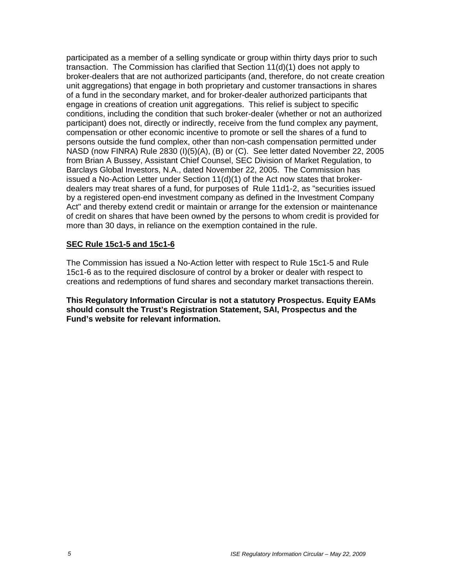participated as a member of a selling syndicate or group within thirty days prior to such transaction. The Commission has clarified that Section 11(d)(1) does not apply to broker-dealers that are not authorized participants (and, therefore, do not create creation unit aggregations) that engage in both proprietary and customer transactions in shares of a fund in the secondary market, and for broker-dealer authorized participants that engage in creations of creation unit aggregations. This relief is subject to specific conditions, including the condition that such broker-dealer (whether or not an authorized participant) does not, directly or indirectly, receive from the fund complex any payment, compensation or other economic incentive to promote or sell the shares of a fund to persons outside the fund complex, other than non-cash compensation permitted under NASD (now FINRA) Rule 2830 (I)(5)(A), (B) or (C). See letter dated November 22, 2005 from Brian A Bussey, Assistant Chief Counsel, SEC Division of Market Regulation, to Barclays Global Investors, N.A., dated November 22, 2005. The Commission has issued a No-Action Letter under Section 11(d)(1) of the Act now states that brokerdealers may treat shares of a fund, for purposes of Rule 11d1-2, as "securities issued by a registered open-end investment company as defined in the Investment Company Act" and thereby extend credit or maintain or arrange for the extension or maintenance of credit on shares that have been owned by the persons to whom credit is provided for more than 30 days, in reliance on the exemption contained in the rule.

#### **SEC Rule 15c1-5 and 15c1-6**

The Commission has issued a No-Action letter with respect to Rule 15c1-5 and Rule 15c1-6 as to the required disclosure of control by a broker or dealer with respect to creations and redemptions of fund shares and secondary market transactions therein.

**This Regulatory Information Circular is not a statutory Prospectus. Equity EAMs should consult the Trust's Registration Statement, SAI, Prospectus and the Fund's website for relevant information.**